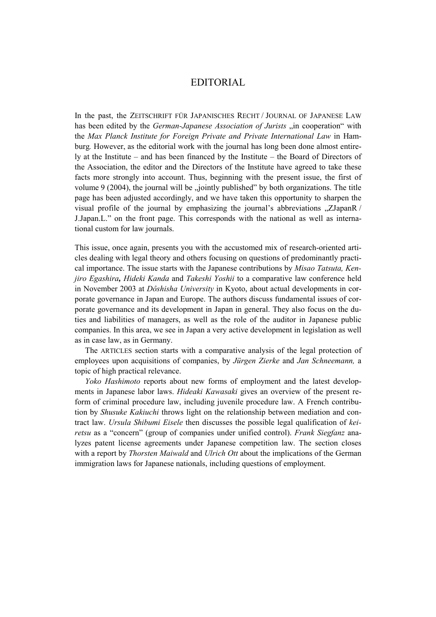## EDITORIAL

In the past, the ZEITSCHRIFT FÜR JAPANISCHES RECHT / JOURNAL OF JAPANESE LAW has been edited by the *German-Japanese Association of Jurists* "in cooperation" with the *Max Planck Institute for Foreign Private and Private International Law* in Hamburg*.* However, as the editorial work with the journal has long been done almost entirely at the Institute – and has been financed by the Institute – the Board of Directors of the Association, the editor and the Directors of the Institute have agreed to take these facts more strongly into account. Thus, beginning with the present issue, the first of volume 9 (2004), the journal will be "jointly published" by both organizations. The title page has been adjusted accordingly, and we have taken this opportunity to sharpen the visual profile of the journal by emphasizing the journal's abbreviations  $\Box ZJapanR /$ J.Japan.L." on the front page. This corresponds with the national as well as international custom for law journals.

This issue, once again, presents you with the accustomed mix of research-oriented articles dealing with legal theory and others focusing on questions of predominantly practical importance. The issue starts with the Japanese contributions by *Misao Tatsuta, Kenjiro Egashira, Hideki Kanda* and *Takeshi Yoshii* to a comparative law conference held in November 2003 at *Dôshisha University* in Kyoto, about actual developments in corporate governance in Japan and Europe. The authors discuss fundamental issues of corporate governance and its development in Japan in general. They also focus on the duties and liabilities of managers, as well as the role of the auditor in Japanese public companies. In this area, we see in Japan a very active development in legislation as well as in case law, as in Germany.

The ARTICLES section starts with a comparative analysis of the legal protection of employees upon acquisitions of companies, by *Jürgen Zierke* and *Jan Schneemann,* a topic of high practical relevance.

*Yoko Hashimoto* reports about new forms of employment and the latest developments in Japanese labor laws. *Hideaki Kawasaki* gives an overview of the present reform of criminal procedure law, including juvenile procedure law. A French contribution by *Shusuke Kakiuchi* throws light on the relationship between mediation and contract law. *Ursula Shibumi Eisele* then discusses the possible legal qualification of *keiretsu* as a "concern" (group of companies under unified control). *Frank Siegfanz* analyzes patent license agreements under Japanese competition law. The section closes with a report by *Thorsten Maiwald* and *Ulrich Ott* about the implications of the German immigration laws for Japanese nationals, including questions of employment.